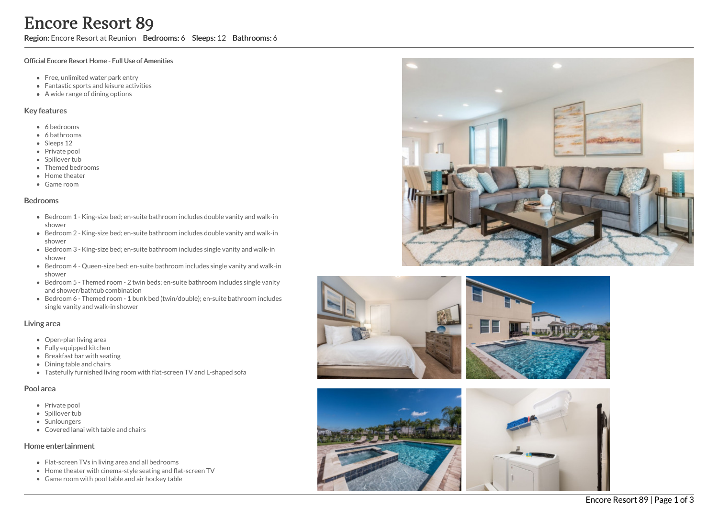Region: Encore Resort at Reunion Bedrooms: 6 Sleeps: 12 Bathrooms: 6

#### Official Encore Resort Home - Full Use of Amenities

- Free, unlimited water park entry
- Fantastic sports and leisure activities
- A wide range of dining options

### Key features

- 6 b e d r o o m s
- 6 bathrooms
- Sleeps 12
- Private pool
- Spillover tub
- Themed bedr o o m s
- Home theater
- G a m e r o o m

#### **Bedrooms**

- Bedroom 1 King-size bed; en-suite bathroom includes double vanity and walk-in s h o w e r
- Bedroom 2 King-size bed; en-suite bathroom includes double vanity and walk-in s h o w e r
- Bedroom 3 King-size bed; en-suite bathroom includes single vanity and walk-in s h o w e r
- Bedroom 4 Queen-size bed; en-suite bathroom includes single vanity and walk-in s h o w e r
- Bedroom 5 Themed room 2 twin beds; en-suite bathroom includes single vanity and shower/bathtub combination
- Bedroom 6 Themed room 1 bunk bed (twin/double); en-suite bathroom includes single vanity and walk-in shower

### Living area

- Open-plan living area
- Fully equipped kitchen
- Breakfast bar with seating
- Dining table and chairs
- Tastefully furnished living room with flat-screen TV and L-shaped sofa

### Pool area

- Private pool
- Spillover tub
- Sunloungers
- Covered lanai with table and chairs

### Home entertainment

- Flat-screen TVs in living area and all bedrooms
- Home theater with cinema-style seating and flat-screen TV
- Game room with pool table and air hockey table







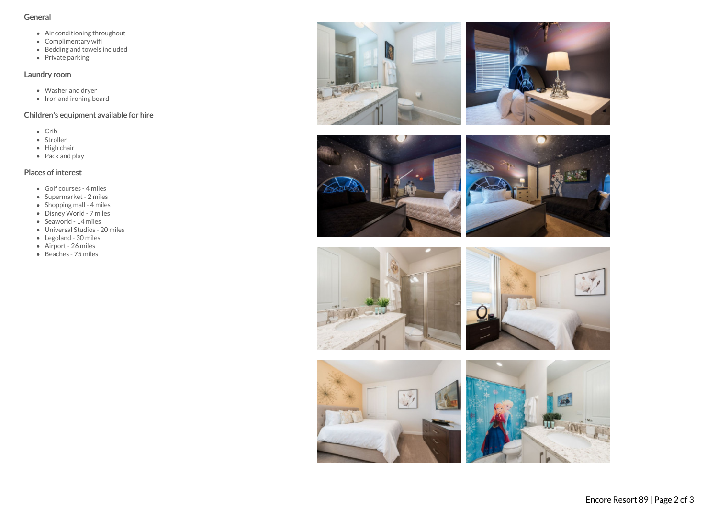### General

- Air conditioning throughout
- Complimentary wifi
- Bedding and towels included
- Private parking

# Laundry room

- Washer and dryer
- Iron and ironing board

# Children's equipment available for hire

- Crib
- Stroller
- $\bullet$  High chair
- Pack and play

# Places of interest

- Golf courses 4 miles
- Supermarket 2 miles
- $\bullet$  Shopping mall 4 miles
- Disney World 7 miles
- $\bullet$  Seaworld 14 miles
- Universal Studios 20 miles
- Legoland 30 miles
- Airport 26 miles
- Beaches 75 miles